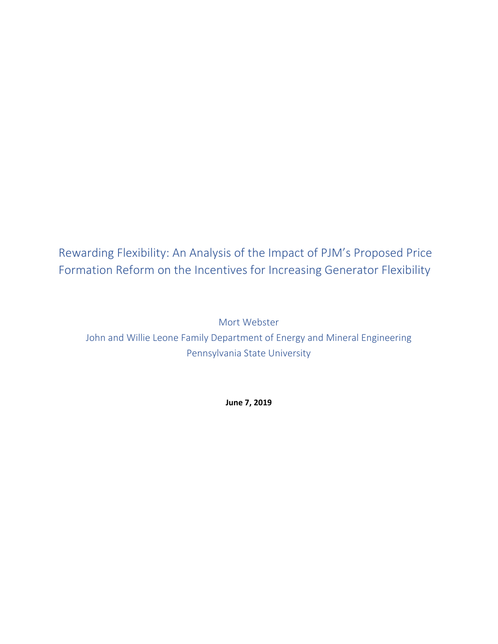Rewarding Flexibility: An Analysis of the Impact of PJM's Proposed Price Formation Reform on the Incentives for Increasing Generator Flexibility

Mort Webster John and Willie Leone Family Department of Energy and Mineral Engineering Pennsylvania State University

**June 7, 2019**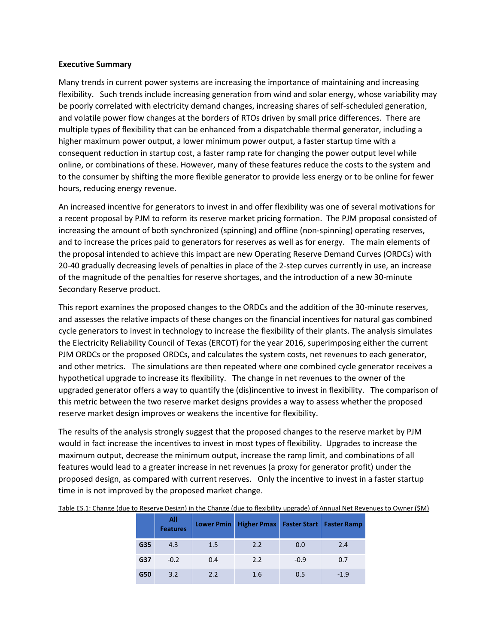#### **Executive Summary**

Many trends in current power systems are increasing the importance of maintaining and increasing flexibility. Such trends include increasing generation from wind and solar energy, whose variability may be poorly correlated with electricity demand changes, increasing shares of self-scheduled generation, and volatile power flow changes at the borders of RTOs driven by small price differences. There are multiple types of flexibility that can be enhanced from a dispatchable thermal generator, including a higher maximum power output, a lower minimum power output, a faster startup time with a consequent reduction in startup cost, a faster ramp rate for changing the power output level while online, or combinations of these. However, many of these features reduce the costs to the system and to the consumer by shifting the more flexible generator to provide less energy or to be online for fewer hours, reducing energy revenue.

An increased incentive for generators to invest in and offer flexibility was one of several motivations for a recent proposal by PJM to reform its reserve market pricing formation. The PJM proposal consisted of increasing the amount of both synchronized (spinning) and offline (non-spinning) operating reserves, and to increase the prices paid to generators for reserves as well as for energy. The main elements of the proposal intended to achieve this impact are new Operating Reserve Demand Curves (ORDCs) with 20-40 gradually decreasing levels of penalties in place of the 2-step curves currently in use, an increase of the magnitude of the penalties for reserve shortages, and the introduction of a new 30-minute Secondary Reserve product.

This report examines the proposed changes to the ORDCs and the addition of the 30-minute reserves, and assesses the relative impacts of these changes on the financial incentives for natural gas combined cycle generators to invest in technology to increase the flexibility of their plants. The analysis simulates the Electricity Reliability Council of Texas (ERCOT) for the year 2016, superimposing either the current PJM ORDCs or the proposed ORDCs, and calculates the system costs, net revenues to each generator, and other metrics. The simulations are then repeated where one combined cycle generator receives a hypothetical upgrade to increase its flexibility. The change in net revenues to the owner of the upgraded generator offers a way to quantify the (dis)incentive to invest in flexibility. The comparison of this metric between the two reserve market designs provides a way to assess whether the proposed reserve market design improves or weakens the incentive for flexibility.

The results of the analysis strongly suggest that the proposed changes to the reserve market by PJM would in fact increase the incentives to invest in most types of flexibility. Upgrades to increase the maximum output, decrease the minimum output, increase the ramp limit, and combinations of all features would lead to a greater increase in net revenues (a proxy for generator profit) under the proposed design, as compared with current reserves. Only the incentive to invest in a faster startup time in is not improved by the proposed market change.

|     | All<br><b>Features</b> |     | Lower Pmin Higher Pmax   Faster Start   Faster Ramp |        |       |
|-----|------------------------|-----|-----------------------------------------------------|--------|-------|
| G35 | 4.3                    | 1.5 | 2.2                                                 | 0.0    | 2.4   |
| G37 | $-0.2$                 | 0.4 | 2.2                                                 | $-0.9$ | 0.7   |
| G50 | 3.2                    | 2.2 | 1.6                                                 | 0.5    | $-19$ |

Table ES.1: Change (due to Reserve Design) in the Change (due to flexibility upgrade) of Annual Net Revenues to Owner (\$M)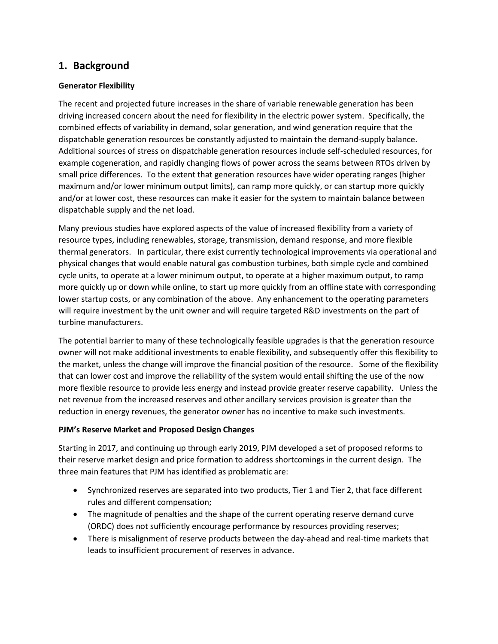# **1. Background**

## **Generator Flexibility**

The recent and projected future increases in the share of variable renewable generation has been driving increased concern about the need for flexibility in the electric power system. Specifically, the combined effects of variability in demand, solar generation, and wind generation require that the dispatchable generation resources be constantly adjusted to maintain the demand-supply balance. Additional sources of stress on dispatchable generation resources include self-scheduled resources, for example cogeneration, and rapidly changing flows of power across the seams between RTOs driven by small price differences. To the extent that generation resources have wider operating ranges (higher maximum and/or lower minimum output limits), can ramp more quickly, or can startup more quickly and/or at lower cost, these resources can make it easier for the system to maintain balance between dispatchable supply and the net load.

Many previous studies have explored aspects of the value of increased flexibility from a variety of resource types, including renewables, storage, transmission, demand response, and more flexible thermal generators. In particular, there exist currently technological improvements via operational and physical changes that would enable natural gas combustion turbines, both simple cycle and combined cycle units, to operate at a lower minimum output, to operate at a higher maximum output, to ramp more quickly up or down while online, to start up more quickly from an offline state with corresponding lower startup costs, or any combination of the above. Any enhancement to the operating parameters will require investment by the unit owner and will require targeted R&D investments on the part of turbine manufacturers.

The potential barrier to many of these technologically feasible upgrades is that the generation resource owner will not make additional investments to enable flexibility, and subsequently offer this flexibility to the market, unless the change will improve the financial position of the resource. Some of the flexibility that can lower cost and improve the reliability of the system would entail shifting the use of the now more flexible resource to provide less energy and instead provide greater reserve capability. Unless the net revenue from the increased reserves and other ancillary services provision is greater than the reduction in energy revenues, the generator owner has no incentive to make such investments.

## **PJM's Reserve Market and Proposed Design Changes**

Starting in 2017, and continuing up through early 2019, PJM developed a set of proposed reforms to their reserve market design and price formation to address shortcomings in the current design. The three main features that PJM has identified as problematic are:

- Synchronized reserves are separated into two products, Tier 1 and Tier 2, that face different rules and different compensation;
- The magnitude of penalties and the shape of the current operating reserve demand curve (ORDC) does not sufficiently encourage performance by resources providing reserves;
- There is misalignment of reserve products between the day-ahead and real-time markets that leads to insufficient procurement of reserves in advance.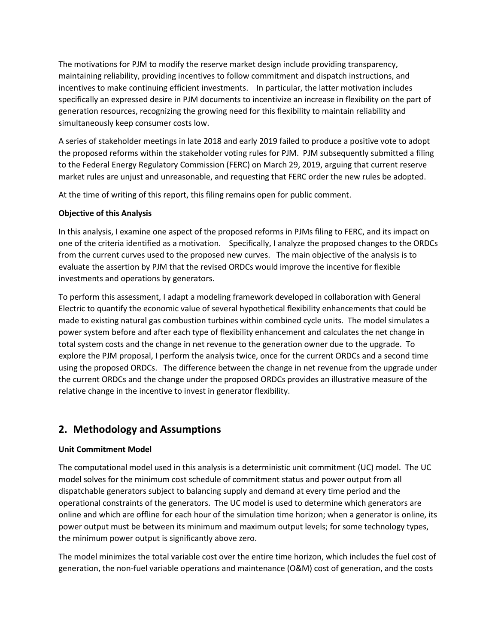The motivations for PJM to modify the reserve market design include providing transparency, maintaining reliability, providing incentives to follow commitment and dispatch instructions, and incentives to make continuing efficient investments. In particular, the latter motivation includes specifically an expressed desire in PJM documents to incentivize an increase in flexibility on the part of generation resources, recognizing the growing need for this flexibility to maintain reliability and simultaneously keep consumer costs low.

A series of stakeholder meetings in late 2018 and early 2019 failed to produce a positive vote to adopt the proposed reforms within the stakeholder voting rules for PJM. PJM subsequently submitted a filing to the Federal Energy Regulatory Commission (FERC) on March 29, 2019, arguing that current reserve market rules are unjust and unreasonable, and requesting that FERC order the new rules be adopted.

At the time of writing of this report, this filing remains open for public comment.

## **Objective of this Analysis**

In this analysis, I examine one aspect of the proposed reforms in PJMs filing to FERC, and its impact on one of the criteria identified as a motivation. Specifically, I analyze the proposed changes to the ORDCs from the current curves used to the proposed new curves. The main objective of the analysis is to evaluate the assertion by PJM that the revised ORDCs would improve the incentive for flexible investments and operations by generators.

To perform this assessment, I adapt a modeling framework developed in collaboration with General Electric to quantify the economic value of several hypothetical flexibility enhancements that could be made to existing natural gas combustion turbines within combined cycle units. The model simulates a power system before and after each type of flexibility enhancement and calculates the net change in total system costs and the change in net revenue to the generation owner due to the upgrade. To explore the PJM proposal, I perform the analysis twice, once for the current ORDCs and a second time using the proposed ORDCs. The difference between the change in net revenue from the upgrade under the current ORDCs and the change under the proposed ORDCs provides an illustrative measure of the relative change in the incentive to invest in generator flexibility.

## **2. Methodology and Assumptions**

## **Unit Commitment Model**

The computational model used in this analysis is a deterministic unit commitment (UC) model. The UC model solves for the minimum cost schedule of commitment status and power output from all dispatchable generators subject to balancing supply and demand at every time period and the operational constraints of the generators. The UC model is used to determine which generators are online and which are offline for each hour of the simulation time horizon; when a generator is online, its power output must be between its minimum and maximum output levels; for some technology types, the minimum power output is significantly above zero.

The model minimizes the total variable cost over the entire time horizon, which includes the fuel cost of generation, the non-fuel variable operations and maintenance (O&M) cost of generation, and the costs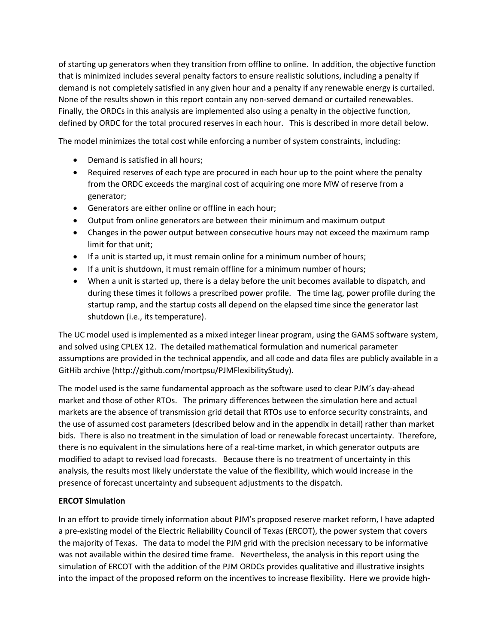of starting up generators when they transition from offline to online. In addition, the objective function that is minimized includes several penalty factors to ensure realistic solutions, including a penalty if demand is not completely satisfied in any given hour and a penalty if any renewable energy is curtailed. None of the results shown in this report contain any non-served demand or curtailed renewables. Finally, the ORDCs in this analysis are implemented also using a penalty in the objective function, defined by ORDC for the total procured reserves in each hour. This is described in more detail below.

The model minimizes the total cost while enforcing a number of system constraints, including:

- Demand is satisfied in all hours;
- Required reserves of each type are procured in each hour up to the point where the penalty from the ORDC exceeds the marginal cost of acquiring one more MW of reserve from a generator;
- Generators are either online or offline in each hour;
- Output from online generators are between their minimum and maximum output
- Changes in the power output between consecutive hours may not exceed the maximum ramp limit for that unit;
- If a unit is started up, it must remain online for a minimum number of hours;
- If a unit is shutdown, it must remain offline for a minimum number of hours;
- When a unit is started up, there is a delay before the unit becomes available to dispatch, and during these times it follows a prescribed power profile. The time lag, power profile during the startup ramp, and the startup costs all depend on the elapsed time since the generator last shutdown (i.e., its temperature).

The UC model used is implemented as a mixed integer linear program, using the GAMS software system, and solved using CPLEX 12. The detailed mathematical formulation and numerical parameter assumptions are provided in the technical appendix, and all code and data files are publicly available in a GitHib archive (http://github.com/mortpsu/PJMFlexibilityStudy).

The model used is the same fundamental approach as the software used to clear PJM's day-ahead market and those of other RTOs. The primary differences between the simulation here and actual markets are the absence of transmission grid detail that RTOs use to enforce security constraints, and the use of assumed cost parameters (described below and in the appendix in detail) rather than market bids. There is also no treatment in the simulation of load or renewable forecast uncertainty. Therefore, there is no equivalent in the simulations here of a real-time market, in which generator outputs are modified to adapt to revised load forecasts. Because there is no treatment of uncertainty in this analysis, the results most likely understate the value of the flexibility, which would increase in the presence of forecast uncertainty and subsequent adjustments to the dispatch.

## **ERCOT Simulation**

In an effort to provide timely information about PJM's proposed reserve market reform, I have adapted a pre-existing model of the Electric Reliability Council of Texas (ERCOT), the power system that covers the majority of Texas. The data to model the PJM grid with the precision necessary to be informative was not available within the desired time frame. Nevertheless, the analysis in this report using the simulation of ERCOT with the addition of the PJM ORDCs provides qualitative and illustrative insights into the impact of the proposed reform on the incentives to increase flexibility. Here we provide high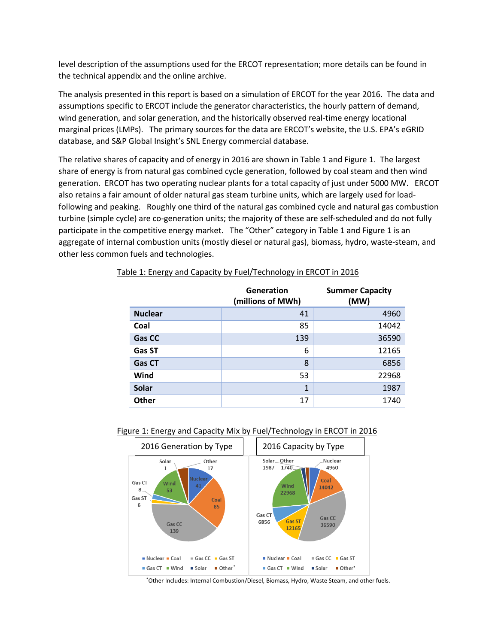level description of the assumptions used for the ERCOT representation; more details can be found in the technical appendix and the online archive.

The analysis presented in this report is based on a simulation of ERCOT for the year 2016. The data and assumptions specific to ERCOT include the generator characteristics, the hourly pattern of demand, wind generation, and solar generation, and the historically observed real-time energy locational marginal prices (LMPs). The primary sources for the data are ERCOT's website, the U.S. EPA's eGRID database, and S&P Global Insight's SNL Energy commercial database.

The relative shares of capacity and of energy in 2016 are shown in Table 1 and Figure 1. The largest share of energy is from natural gas combined cycle generation, followed by coal steam and then wind generation. ERCOT has two operating nuclear plants for a total capacity of just under 5000 MW. ERCOT also retains a fair amount of older natural gas steam turbine units, which are largely used for loadfollowing and peaking. Roughly one third of the natural gas combined cycle and natural gas combustion turbine (simple cycle) are co-generation units; the majority of these are self-scheduled and do not fully participate in the competitive energy market. The "Other" category in Table 1 and Figure 1 is an aggregate of internal combustion units (mostly diesel or natural gas), biomass, hydro, waste-steam, and other less common fuels and technologies.

|                | Generation<br>(millions of MWh) | <b>Summer Capacity</b><br>(MW) |
|----------------|---------------------------------|--------------------------------|
| <b>Nuclear</b> | 41                              | 4960                           |
| Coal           | 85                              | 14042                          |
| Gas CC         | 139                             | 36590                          |
| Gas ST         | 6                               | 12165                          |
| <b>Gas CT</b>  | 8                               | 6856                           |
| Wind           | 53                              | 22968                          |
| <b>Solar</b>   | 1                               | 1987                           |
| <b>Other</b>   | 17                              | 1740                           |

#### Table 1: Energy and Capacity by Fuel/Technology in ERCOT in 2016

#### Figure 1: Energy and Capacity Mix by Fuel/Technology in ERCOT in 2016



\*Other Includes: Internal Combustion/Diesel, Biomass, Hydro, Waste Steam, and other fuels.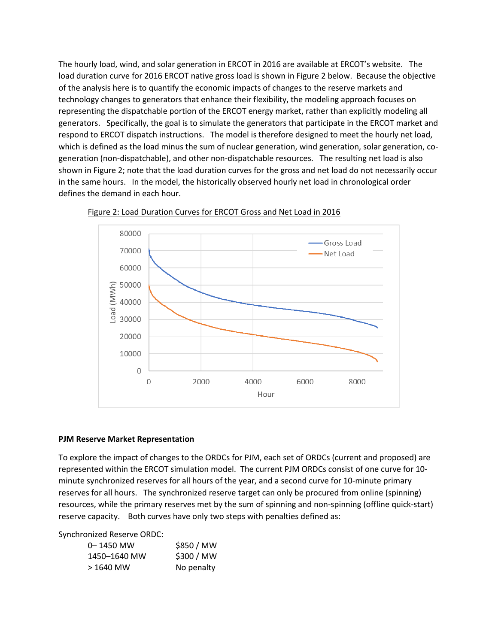The hourly load, wind, and solar generation in ERCOT in 2016 are available at ERCOT's website. The load duration curve for 2016 ERCOT native gross load is shown in Figure 2 below. Because the objective of the analysis here is to quantify the economic impacts of changes to the reserve markets and technology changes to generators that enhance their flexibility, the modeling approach focuses on representing the dispatchable portion of the ERCOT energy market, rather than explicitly modeling all generators. Specifically, the goal is to simulate the generators that participate in the ERCOT market and respond to ERCOT dispatch instructions. The model is therefore designed to meet the hourly net load, which is defined as the load minus the sum of nuclear generation, wind generation, solar generation, cogeneration (non-dispatchable), and other non-dispatchable resources. The resulting net load is also shown in Figure 2; note that the load duration curves for the gross and net load do not necessarily occur in the same hours. In the model, the historically observed hourly net load in chronological order defines the demand in each hour.





#### **PJM Reserve Market Representation**

To explore the impact of changes to the ORDCs for PJM, each set of ORDCs (current and proposed) are represented within the ERCOT simulation model. The current PJM ORDCs consist of one curve for 10 minute synchronized reserves for all hours of the year, and a second curve for 10-minute primary reserves for all hours. The synchronized reserve target can only be procured from online (spinning) resources, while the primary reserves met by the sum of spinning and non-spinning (offline quick-start) reserve capacity. Both curves have only two steps with penalties defined as:

Synchronized Reserve ORDC:

| 0-1450 MW    | \$850 / MW |
|--------------|------------|
| 1450-1640 MW | \$300 / MW |
| > 1640 MW    | No penalty |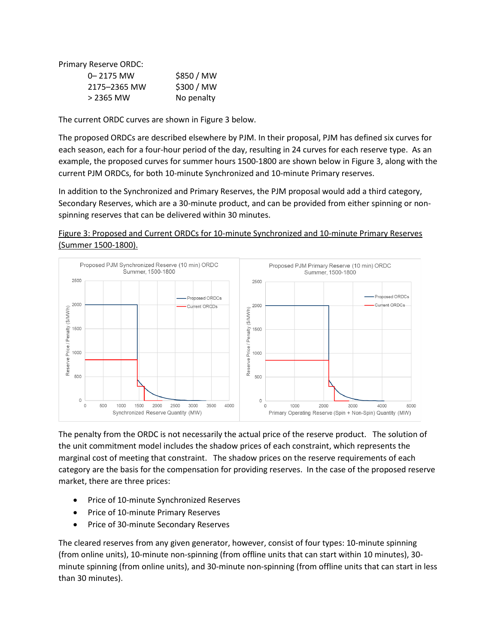Primary Reserve ORDC:

| $0 - 2175$ MW | \$850 / MW |
|---------------|------------|
| 2175-2365 MW  | \$300 / MW |
| > 2365 MW     | No penalty |

The current ORDC curves are shown in Figure 3 below.

The proposed ORDCs are described elsewhere by PJM. In their proposal, PJM has defined six curves for each season, each for a four-hour period of the day, resulting in 24 curves for each reserve type. As an example, the proposed curves for summer hours 1500-1800 are shown below in Figure 3, along with the current PJM ORDCs, for both 10-minute Synchronized and 10-minute Primary reserves.

In addition to the Synchronized and Primary Reserves, the PJM proposal would add a third category, Secondary Reserves, which are a 30-minute product, and can be provided from either spinning or nonspinning reserves that can be delivered within 30 minutes.





The penalty from the ORDC is not necessarily the actual price of the reserve product. The solution of the unit commitment model includes the shadow prices of each constraint, which represents the marginal cost of meeting that constraint. The shadow prices on the reserve requirements of each category are the basis for the compensation for providing reserves. In the case of the proposed reserve market, there are three prices:

- Price of 10-minute Synchronized Reserves
- Price of 10-minute Primary Reserves
- Price of 30-minute Secondary Reserves

The cleared reserves from any given generator, however, consist of four types: 10-minute spinning (from online units), 10-minute non-spinning (from offline units that can start within 10 minutes), 30 minute spinning (from online units), and 30-minute non-spinning (from offline units that can start in less than 30 minutes).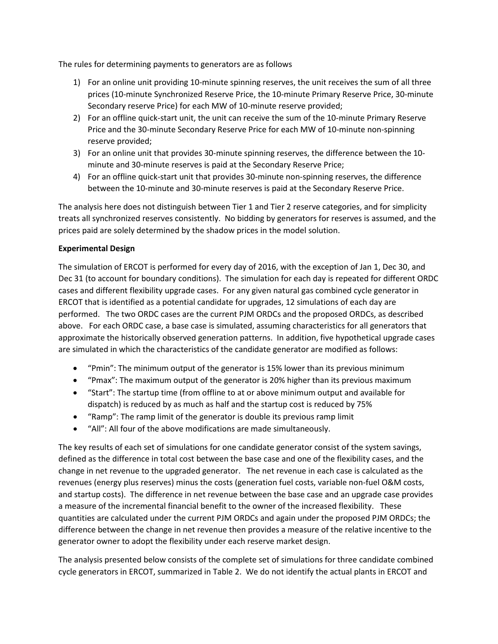The rules for determining payments to generators are as follows

- 1) For an online unit providing 10-minute spinning reserves, the unit receives the sum of all three prices (10-minute Synchronized Reserve Price, the 10-minute Primary Reserve Price, 30-minute Secondary reserve Price) for each MW of 10-minute reserve provided;
- 2) For an offline quick-start unit, the unit can receive the sum of the 10-minute Primary Reserve Price and the 30-minute Secondary Reserve Price for each MW of 10-minute non-spinning reserve provided;
- 3) For an online unit that provides 30-minute spinning reserves, the difference between the 10 minute and 30-minute reserves is paid at the Secondary Reserve Price;
- 4) For an offline quick-start unit that provides 30-minute non-spinning reserves, the difference between the 10-minute and 30-minute reserves is paid at the Secondary Reserve Price.

The analysis here does not distinguish between Tier 1 and Tier 2 reserve categories, and for simplicity treats all synchronized reserves consistently. No bidding by generators for reserves is assumed, and the prices paid are solely determined by the shadow prices in the model solution.

## **Experimental Design**

The simulation of ERCOT is performed for every day of 2016, with the exception of Jan 1, Dec 30, and Dec 31 (to account for boundary conditions). The simulation for each day is repeated for different ORDC cases and different flexibility upgrade cases. For any given natural gas combined cycle generator in ERCOT that is identified as a potential candidate for upgrades, 12 simulations of each day are performed. The two ORDC cases are the current PJM ORDCs and the proposed ORDCs, as described above. For each ORDC case, a base case is simulated, assuming characteristics for all generators that approximate the historically observed generation patterns. In addition, five hypothetical upgrade cases are simulated in which the characteristics of the candidate generator are modified as follows:

- "Pmin": The minimum output of the generator is 15% lower than its previous minimum
- "Pmax": The maximum output of the generator is 20% higher than its previous maximum
- "Start": The startup time (from offline to at or above minimum output and available for dispatch) is reduced by as much as half and the startup cost is reduced by 75%
- "Ramp": The ramp limit of the generator is double its previous ramp limit
- "All": All four of the above modifications are made simultaneously.

The key results of each set of simulations for one candidate generator consist of the system savings, defined as the difference in total cost between the base case and one of the flexibility cases, and the change in net revenue to the upgraded generator. The net revenue in each case is calculated as the revenues (energy plus reserves) minus the costs (generation fuel costs, variable non-fuel O&M costs, and startup costs). The difference in net revenue between the base case and an upgrade case provides a measure of the incremental financial benefit to the owner of the increased flexibility. These quantities are calculated under the current PJM ORDCs and again under the proposed PJM ORDCs; the difference between the change in net revenue then provides a measure of the relative incentive to the generator owner to adopt the flexibility under each reserve market design.

The analysis presented below consists of the complete set of simulations for three candidate combined cycle generators in ERCOT, summarized in Table 2. We do not identify the actual plants in ERCOT and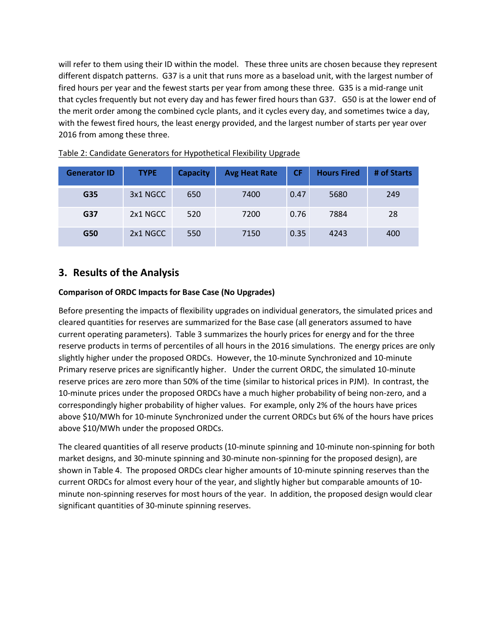will refer to them using their ID within the model. These three units are chosen because they represent different dispatch patterns. G37 is a unit that runs more as a baseload unit, with the largest number of fired hours per year and the fewest starts per year from among these three. G35 is a mid-range unit that cycles frequently but not every day and has fewer fired hours than G37. G50 is at the lower end of the merit order among the combined cycle plants, and it cycles every day, and sometimes twice a day, with the fewest fired hours, the least energy provided, and the largest number of starts per year over 2016 from among these three.

| <b>Generator ID</b> | <b>TYPE</b> | <b>Capacity</b> | <b>Avg Heat Rate</b> | <b>CF</b> |      | # of Starts |
|---------------------|-------------|-----------------|----------------------|-----------|------|-------------|
| G35                 | 3x1 NGCC    | 650             | 7400                 | 0.47      | 5680 | 249         |
| G37                 | 2x1 NGCC    | 520             | 7200                 | 0.76      | 7884 | 28          |
| G50                 | 2x1 NGCC    | 550             | 7150                 | 0.35      | 4243 | 400         |

## Table 2: Candidate Generators for Hypothetical Flexibility Upgrade

## **3. Results of the Analysis**

## **Comparison of ORDC Impacts for Base Case (No Upgrades)**

Before presenting the impacts of flexibility upgrades on individual generators, the simulated prices and cleared quantities for reserves are summarized for the Base case (all generators assumed to have current operating parameters). Table 3 summarizes the hourly prices for energy and for the three reserve products in terms of percentiles of all hours in the 2016 simulations. The energy prices are only slightly higher under the proposed ORDCs. However, the 10-minute Synchronized and 10-minute Primary reserve prices are significantly higher. Under the current ORDC, the simulated 10-minute reserve prices are zero more than 50% of the time (similar to historical prices in PJM). In contrast, the 10-minute prices under the proposed ORDCs have a much higher probability of being non-zero, and a correspondingly higher probability of higher values. For example, only 2% of the hours have prices above \$10/MWh for 10-minute Synchronized under the current ORDCs but 6% of the hours have prices above \$10/MWh under the proposed ORDCs.

The cleared quantities of all reserve products (10-minute spinning and 10-minute non-spinning for both market designs, and 30-minute spinning and 30-minute non-spinning for the proposed design), are shown in Table 4. The proposed ORDCs clear higher amounts of 10-minute spinning reserves than the current ORDCs for almost every hour of the year, and slightly higher but comparable amounts of 10 minute non-spinning reserves for most hours of the year. In addition, the proposed design would clear significant quantities of 30-minute spinning reserves.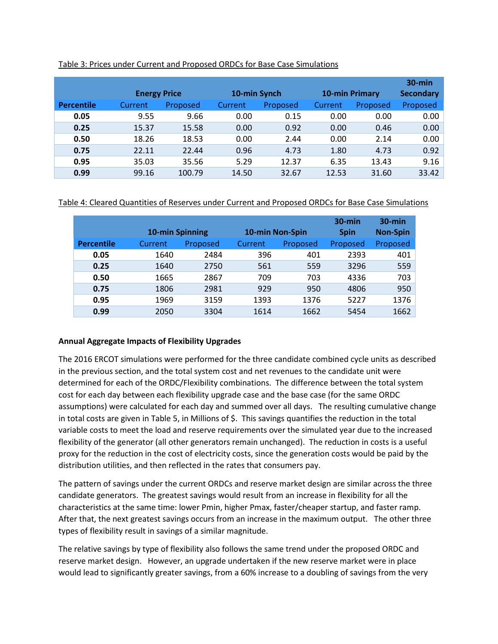|            | <b>Energy Price</b> |          | 10-min Synch   |          | <b>10-min Primary</b> | $30$ -min<br><b>Secondary</b> |          |
|------------|---------------------|----------|----------------|----------|-----------------------|-------------------------------|----------|
| Percentile | Current             | Proposed | <b>Current</b> | Proposed | Current               | Proposed                      | Proposed |
| 0.05       | 9.55                | 9.66     | 0.00           | 0.15     | 0.00                  | 0.00                          | 0.00     |
| 0.25       | 15.37               | 15.58    | 0.00           | 0.92     | 0.00                  | 0.46                          | 0.00     |
| 0.50       | 18.26               | 18.53    | 0.00           | 2.44     | 0.00                  | 2.14                          | 0.00     |
| 0.75       | 22.11               | 22.44    | 0.96           | 4.73     | 1.80                  | 4.73                          | 0.92     |
| 0.95       | 35.03               | 35.56    | 5.29           | 12.37    | 6.35                  | 13.43                         | 9.16     |
| 0.99       | 99.16               | 100.79   | 14.50          | 32.67    | 12.53                 | 31.60                         | 33.42    |

### Table 3: Prices under Current and Proposed ORDCs for Base Case Simulations

## Table 4: Cleared Quantities of Reserves under Current and Proposed ORDCs for Base Case Simulations

|                   | 10-min Spinning |          | 10-min Non-Spin |          | $30$ -min<br><b>Spin</b> | $30$ -min<br><b>Non-Spin</b> |
|-------------------|-----------------|----------|-----------------|----------|--------------------------|------------------------------|
| <b>Percentile</b> | Current         | Proposed | Current         | Proposed | Proposed                 | Proposed                     |
| 0.05              | 1640            | 2484     | 396             | 401      | 2393                     | 401                          |
| 0.25              | 1640            | 2750     | 561             | 559      | 3296                     | 559                          |
| 0.50              | 1665            | 2867     | 709             | 703      | 4336                     | 703                          |
| 0.75              | 1806            | 2981     | 929             | 950      | 4806                     | 950                          |
| 0.95              | 1969            | 3159     | 1393            | 1376     | 5227                     | 1376                         |
| 0.99              | 2050            | 3304     | 1614            | 1662     | 5454                     | 1662                         |

## **Annual Aggregate Impacts of Flexibility Upgrades**

The 2016 ERCOT simulations were performed for the three candidate combined cycle units as described in the previous section, and the total system cost and net revenues to the candidate unit were determined for each of the ORDC/Flexibility combinations. The difference between the total system cost for each day between each flexibility upgrade case and the base case (for the same ORDC assumptions) were calculated for each day and summed over all days. The resulting cumulative change in total costs are given in Table 5, in Millions of \$. This savings quantifies the reduction in the total variable costs to meet the load and reserve requirements over the simulated year due to the increased flexibility of the generator (all other generators remain unchanged). The reduction in costs is a useful proxy for the reduction in the cost of electricity costs, since the generation costs would be paid by the distribution utilities, and then reflected in the rates that consumers pay.

The pattern of savings under the current ORDCs and reserve market design are similar across the three candidate generators. The greatest savings would result from an increase in flexibility for all the characteristics at the same time: lower Pmin, higher Pmax, faster/cheaper startup, and faster ramp. After that, the next greatest savings occurs from an increase in the maximum output. The other three types of flexibility result in savings of a similar magnitude.

The relative savings by type of flexibility also follows the same trend under the proposed ORDC and reserve market design. However, an upgrade undertaken if the new reserve market were in place would lead to significantly greater savings, from a 60% increase to a doubling of savings from the very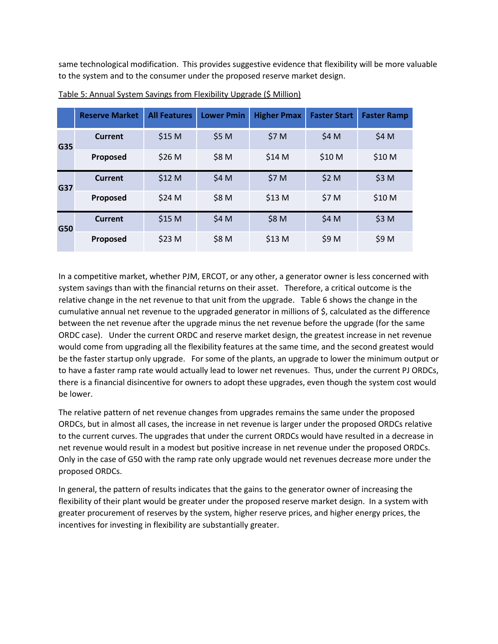same technological modification. This provides suggestive evidence that flexibility will be more valuable to the system and to the consumer under the proposed reserve market design.

|     | <b>Reserve Market</b> | <b>All Features</b> | <b>Lower Pmin</b> | <b>Higher Pmax</b> | <b>Faster Start</b> | <b>Faster Ramp</b> |
|-----|-----------------------|---------------------|-------------------|--------------------|---------------------|--------------------|
| G35 | Current               | \$15 M              | \$5 M             | \$7 M              | \$4 M               | \$4 M              |
|     | Proposed              | \$26 M              | \$8 M             | \$14 M             | \$10 M              | \$10 M             |
| G37 | <b>Current</b>        | \$12 M              | \$4 M             | \$7 M              | \$2 M               | \$3 M              |
|     | Proposed              | \$24 M              | \$8 M             | \$13 M             | \$7 M               | \$10 M             |
| G50 | Current               | \$15 M              | \$4 M             | \$8 M              | \$4 M               | \$3 M              |
|     | Proposed              | \$23 M              | \$8 M             | \$13 M             | \$9 M               | \$9 M              |

Table 5: Annual System Savings from Flexibility Upgrade (\$ Million)

In a competitive market, whether PJM, ERCOT, or any other, a generator owner is less concerned with system savings than with the financial returns on their asset. Therefore, a critical outcome is the relative change in the net revenue to that unit from the upgrade. Table 6 shows the change in the cumulative annual net revenue to the upgraded generator in millions of \$, calculated as the difference between the net revenue after the upgrade minus the net revenue before the upgrade (for the same ORDC case). Under the current ORDC and reserve market design, the greatest increase in net revenue would come from upgrading all the flexibility features at the same time, and the second greatest would be the faster startup only upgrade. For some of the plants, an upgrade to lower the minimum output or to have a faster ramp rate would actually lead to lower net revenues. Thus, under the current PJ ORDCs, there is a financial disincentive for owners to adopt these upgrades, even though the system cost would be lower.

The relative pattern of net revenue changes from upgrades remains the same under the proposed ORDCs, but in almost all cases, the increase in net revenue is larger under the proposed ORDCs relative to the current curves. The upgrades that under the current ORDCs would have resulted in a decrease in net revenue would result in a modest but positive increase in net revenue under the proposed ORDCs. Only in the case of G50 with the ramp rate only upgrade would net revenues decrease more under the proposed ORDCs.

In general, the pattern of results indicates that the gains to the generator owner of increasing the flexibility of their plant would be greater under the proposed reserve market design. In a system with greater procurement of reserves by the system, higher reserve prices, and higher energy prices, the incentives for investing in flexibility are substantially greater.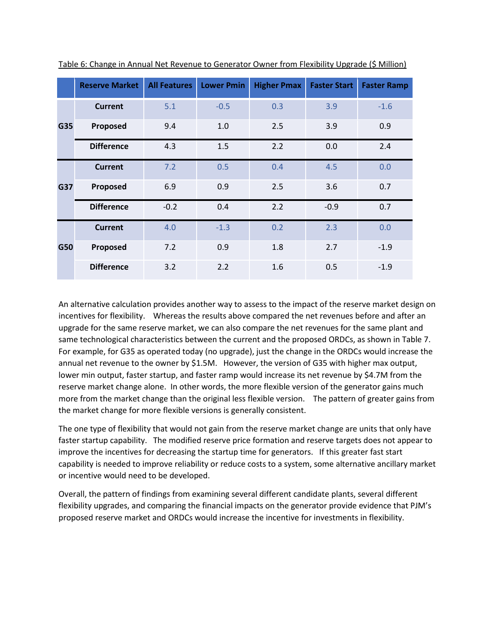|     | <b>Reserve Market</b> | <b>All Features</b> | <b>Lower Pmin</b> | <b>Higher Pmax</b> | <b>Faster Start</b> | <b>Faster Ramp</b> |
|-----|-----------------------|---------------------|-------------------|--------------------|---------------------|--------------------|
| G35 | <b>Current</b>        | 5.1                 | $-0.5$            | 0.3                | 3.9                 | $-1.6$             |
|     | Proposed              | 9.4                 | 1.0               | 2.5                | 3.9                 | 0.9                |
|     | <b>Difference</b>     | 4.3                 | 1.5               | 2.2                | 0.0                 | 2.4                |
|     | <b>Current</b>        | 7.2                 | 0.5               | 0.4                | 4.5                 | 0.0                |
| G37 | Proposed              | 6.9                 | 0.9               | 2.5                | 3.6                 | 0.7                |
|     | <b>Difference</b>     | $-0.2$              | 0.4               | 2.2                | $-0.9$              | 0.7                |
|     | <b>Current</b>        | 4.0                 | $-1.3$            | 0.2                | 2.3                 | 0.0                |
| G50 | Proposed              | 7.2                 | 0.9               | 1.8                | 2.7                 | $-1.9$             |
|     | <b>Difference</b>     | 3.2                 | 2.2               | 1.6                | 0.5                 | $-1.9$             |

Table 6: Change in Annual Net Revenue to Generator Owner from Flexibility Upgrade (\$ Million)

An alternative calculation provides another way to assess to the impact of the reserve market design on incentives for flexibility. Whereas the results above compared the net revenues before and after an upgrade for the same reserve market, we can also compare the net revenues for the same plant and same technological characteristics between the current and the proposed ORDCs, as shown in Table 7. For example, for G35 as operated today (no upgrade), just the change in the ORDCs would increase the annual net revenue to the owner by \$1.5M. However, the version of G35 with higher max output, lower min output, faster startup, and faster ramp would increase its net revenue by \$4.7M from the reserve market change alone. In other words, the more flexible version of the generator gains much more from the market change than the original less flexible version. The pattern of greater gains from the market change for more flexible versions is generally consistent.

The one type of flexibility that would not gain from the reserve market change are units that only have faster startup capability. The modified reserve price formation and reserve targets does not appear to improve the incentives for decreasing the startup time for generators. If this greater fast start capability is needed to improve reliability or reduce costs to a system, some alternative ancillary market or incentive would need to be developed.

Overall, the pattern of findings from examining several different candidate plants, several different flexibility upgrades, and comparing the financial impacts on the generator provide evidence that PJM's proposed reserve market and ORDCs would increase the incentive for investments in flexibility.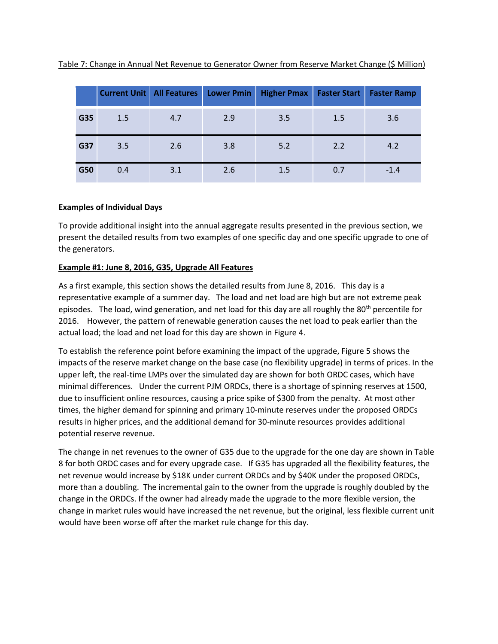| Table 7: Change in Annual Net Revenue to Generator Owner from Reserve Market Change (\$ Million) |  |  |  |  |
|--------------------------------------------------------------------------------------------------|--|--|--|--|
|                                                                                                  |  |  |  |  |

|     | <b>Current Unit</b> | <b>All Features</b> | <b>Lower Pmin</b> | <b>Higher Pmax</b> | <b>Faster Start</b> | <b>Faster Ramp</b> |
|-----|---------------------|---------------------|-------------------|--------------------|---------------------|--------------------|
| G35 | 1.5                 | 4.7                 | 2.9               | 3.5                | 1.5                 | 3.6                |
| G37 | 3.5                 | 2.6                 | 3.8               | 5.2                | 2.2                 | 4.2                |
| G50 | 0.4                 | 3.1                 | 2.6               | 1.5                | 0.7                 | $-1.4$             |

## **Examples of Individual Days**

To provide additional insight into the annual aggregate results presented in the previous section, we present the detailed results from two examples of one specific day and one specific upgrade to one of the generators.

## **Example #1: June 8, 2016, G35, Upgrade All Features**

As a first example, this section shows the detailed results from June 8, 2016. This day is a representative example of a summer day. The load and net load are high but are not extreme peak episodes. The load, wind generation, and net load for this day are all roughly the 80<sup>th</sup> percentile for 2016. However, the pattern of renewable generation causes the net load to peak earlier than the actual load; the load and net load for this day are shown in Figure 4.

To establish the reference point before examining the impact of the upgrade, Figure 5 shows the impacts of the reserve market change on the base case (no flexibility upgrade) in terms of prices. In the upper left, the real-time LMPs over the simulated day are shown for both ORDC cases, which have minimal differences. Under the current PJM ORDCs, there is a shortage of spinning reserves at 1500, due to insufficient online resources, causing a price spike of \$300 from the penalty. At most other times, the higher demand for spinning and primary 10-minute reserves under the proposed ORDCs results in higher prices, and the additional demand for 30-minute resources provides additional potential reserve revenue.

The change in net revenues to the owner of G35 due to the upgrade for the one day are shown in Table 8 for both ORDC cases and for every upgrade case. If G35 has upgraded all the flexibility features, the net revenue would increase by \$18K under current ORDCs and by \$40K under the proposed ORDCs, more than a doubling. The incremental gain to the owner from the upgrade is roughly doubled by the change in the ORDCs. If the owner had already made the upgrade to the more flexible version, the change in market rules would have increased the net revenue, but the original, less flexible current unit would have been worse off after the market rule change for this day.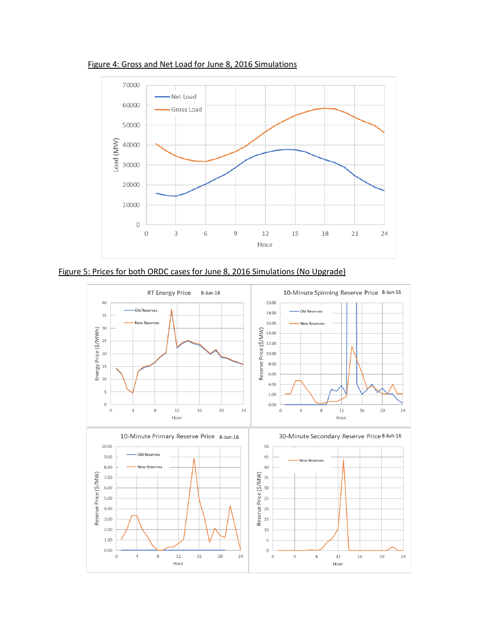



Figure 5: Prices for both ORDC cases for June 8, 2016 Simulations (No Upgrade)

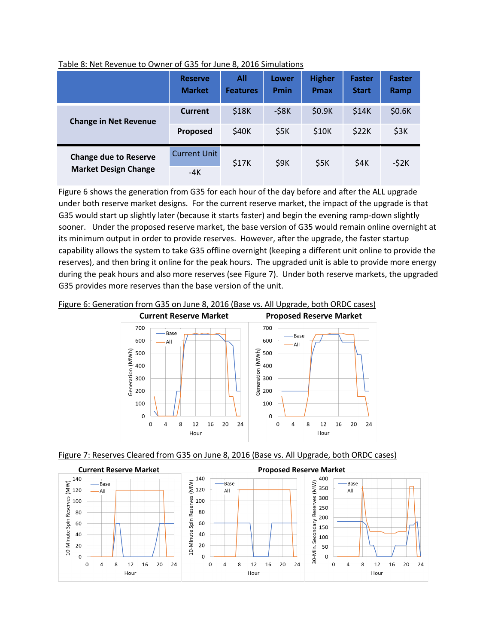|                              | <b>Reserve</b><br><b>Market</b> | All<br><b>Features</b> | Lower<br><b>Pmin</b> | <b>Higher</b><br><b>Pmax</b> | <b>Faster</b><br><b>Start</b> | <b>Faster</b><br>Ramp |
|------------------------------|---------------------------------|------------------------|----------------------|------------------------------|-------------------------------|-----------------------|
| <b>Change in Net Revenue</b> | Current                         | \$18K                  | $-58K$               | \$0.9K                       | \$14K                         | \$0.6K                |
|                              | Proposed                        | \$40K                  | \$5K                 | \$10K                        | \$22K                         | \$3K                  |
| <b>Change due to Reserve</b> | <b>Current Unit</b>             | \$17K                  | \$9K                 | \$5K                         | \$4K                          | $-52K$                |
| <b>Market Design Change</b>  | $-4K$                           |                        |                      |                              |                               |                       |

#### Table 8: Net Revenue to Owner of G35 for June 8, 2016 Simulations

Figure 6 shows the generation from G35 for each hour of the day before and after the ALL upgrade under both reserve market designs. For the current reserve market, the impact of the upgrade is that G35 would start up slightly later (because it starts faster) and begin the evening ramp-down slightly sooner. Under the proposed reserve market, the base version of G35 would remain online overnight at its minimum output in order to provide reserves. However, after the upgrade, the faster startup capability allows the system to take G35 offline overnight (keeping a different unit online to provide the reserves), and then bring it online for the peak hours. The upgraded unit is able to provide more energy during the peak hours and also more reserves (see Figure 7). Under both reserve markets, the upgraded G35 provides more reserves than the base version of the unit.

Figure 6: Generation from G35 on June 8, 2016 (Base vs. All Upgrade, both ORDC cases)





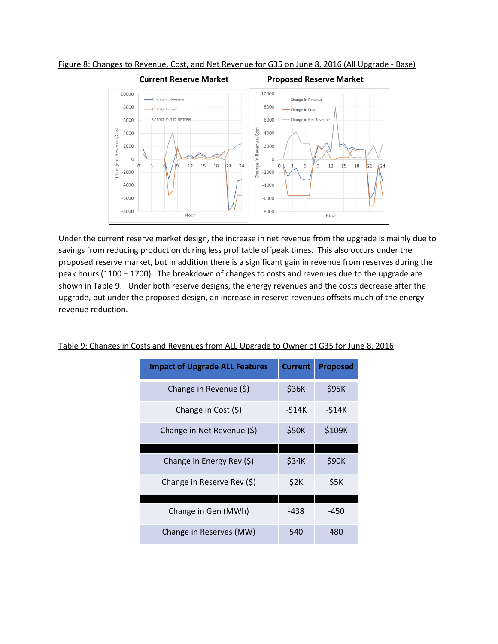

Figure 8: Changes to Revenue, Cost, and Net Revenue for G35 on June 8, 2016 (All Upgrade - Base)

Under the current reserve market design, the increase in net revenue from the upgrade is mainly due to savings from reducing production during less profitable offpeak times. This also occurs under the proposed reserve market, but in addition there is a significant gain in revenue from reserves during the peak hours (1100 – 1700). The breakdown of changes to costs and revenues due to the upgrade are shown in Table 9. Under both reserve designs, the energy revenues and the costs decrease after the upgrade, but under the proposed design, an increase in reserve revenues offsets much of the energy revenue reduction.

| <b>Impact of Upgrade ALL Features</b> | <b>Current</b> | <b>Proposed</b> |  |
|---------------------------------------|----------------|-----------------|--|
| Change in Revenue (\$)                | \$36K          | \$95K           |  |
| Change in Cost $(5)$                  | $-514K$        | $-514K$         |  |
| Change in Net Revenue (\$)            | \$50K          | \$109K          |  |
|                                       |                |                 |  |
| Change in Energy Rev (\$)             | \$34K          | \$90K           |  |
| Change in Reserve Rev (\$)            | \$2K           | \$5K            |  |
|                                       |                |                 |  |
| Change in Gen (MWh)                   | -438           | -450            |  |
| Change in Reserves (MW)               | 540            | 480             |  |

## Table 9: Changes in Costs and Revenues from ALL Upgrade to Owner of G35 for June 8, 2016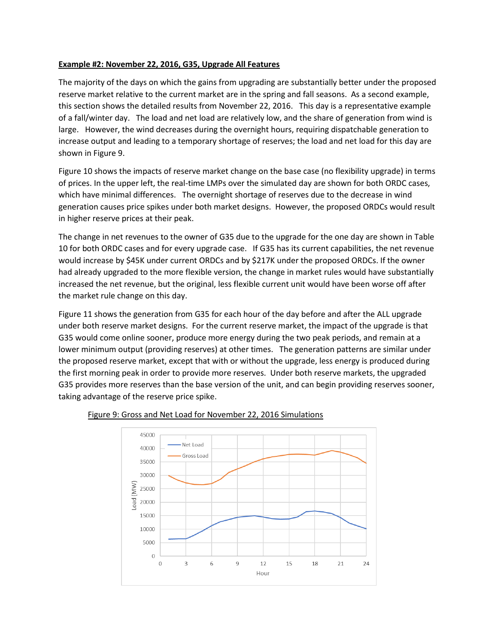## **Example #2: November 22, 2016, G35, Upgrade All Features**

The majority of the days on which the gains from upgrading are substantially better under the proposed reserve market relative to the current market are in the spring and fall seasons. As a second example, this section shows the detailed results from November 22, 2016. This day is a representative example of a fall/winter day. The load and net load are relatively low, and the share of generation from wind is large. However, the wind decreases during the overnight hours, requiring dispatchable generation to increase output and leading to a temporary shortage of reserves; the load and net load for this day are shown in Figure 9.

Figure 10 shows the impacts of reserve market change on the base case (no flexibility upgrade) in terms of prices. In the upper left, the real-time LMPs over the simulated day are shown for both ORDC cases, which have minimal differences. The overnight shortage of reserves due to the decrease in wind generation causes price spikes under both market designs. However, the proposed ORDCs would result in higher reserve prices at their peak.

The change in net revenues to the owner of G35 due to the upgrade for the one day are shown in Table 10 for both ORDC cases and for every upgrade case. If G35 has its current capabilities, the net revenue would increase by \$45K under current ORDCs and by \$217K under the proposed ORDCs. If the owner had already upgraded to the more flexible version, the change in market rules would have substantially increased the net revenue, but the original, less flexible current unit would have been worse off after the market rule change on this day.

Figure 11 shows the generation from G35 for each hour of the day before and after the ALL upgrade under both reserve market designs. For the current reserve market, the impact of the upgrade is that G35 would come online sooner, produce more energy during the two peak periods, and remain at a lower minimum output (providing reserves) at other times. The generation patterns are similar under the proposed reserve market, except that with or without the upgrade, less energy is produced during the first morning peak in order to provide more reserves. Under both reserve markets, the upgraded G35 provides more reserves than the base version of the unit, and can begin providing reserves sooner, taking advantage of the reserve price spike.



#### Figure 9: Gross and Net Load for November 22, 2016 Simulations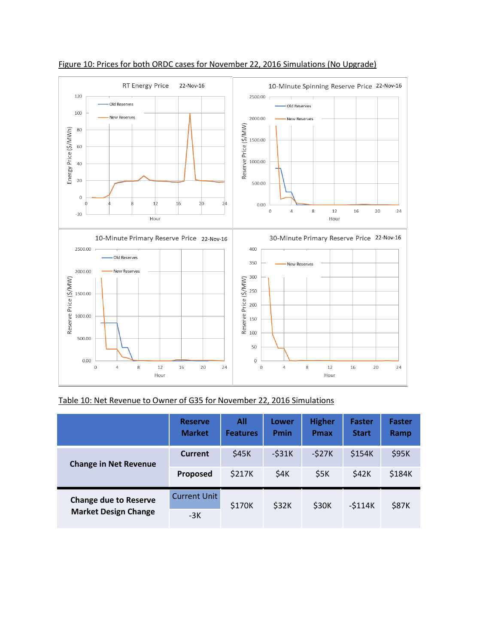

#### Figure 10: Prices for both ORDC cases for November 22, 2016 Simulations (No Upgrade)

Table 10: Net Revenue to Owner of G35 for November 22, 2016 Simulations

|                                                             | <b>Reserve</b><br><b>Market</b> | All<br><b>Features</b> | Lower<br><b>Pmin</b> | <b>Higher</b><br><b>Pmax</b> | <b>Faster</b><br><b>Start</b> | <b>Faster</b><br>Ramp |
|-------------------------------------------------------------|---------------------------------|------------------------|----------------------|------------------------------|-------------------------------|-----------------------|
| <b>Change in Net Revenue</b>                                | <b>Current</b>                  | \$45K                  | $-531K$              | $-527K$                      | \$154K                        | \$95K                 |
|                                                             | Proposed                        | \$217K                 | \$4K                 | \$5K                         | \$42K                         | \$184K                |
| <b>Change due to Reserve</b><br><b>Market Design Change</b> | <b>Current Unit</b><br>-3K      | \$170K                 | \$32K                | \$30K                        | $-5114K$                      | \$87K                 |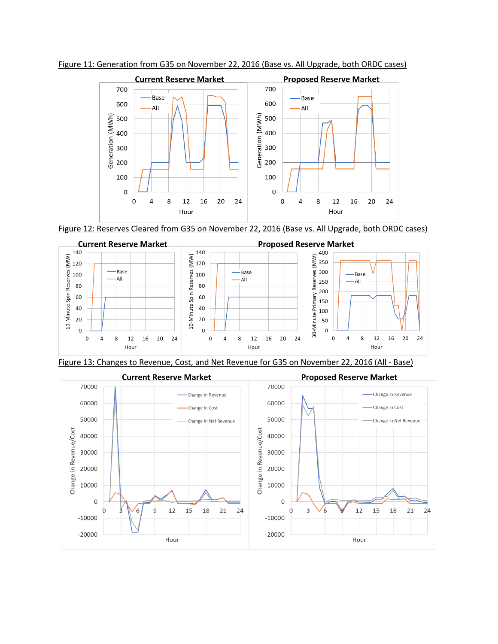

Figure 11: Generation from G35 on November 22, 2016 (Base vs. All Upgrade, both ORDC cases)

Figure 12: Reserves Cleared from G35 on November 22, 2016 (Base vs. All Upgrade, both ORDC cases)



Figure 13: Changes to Revenue, Cost, and Net Revenue for G35 on November 22, 2016 (All - Base)

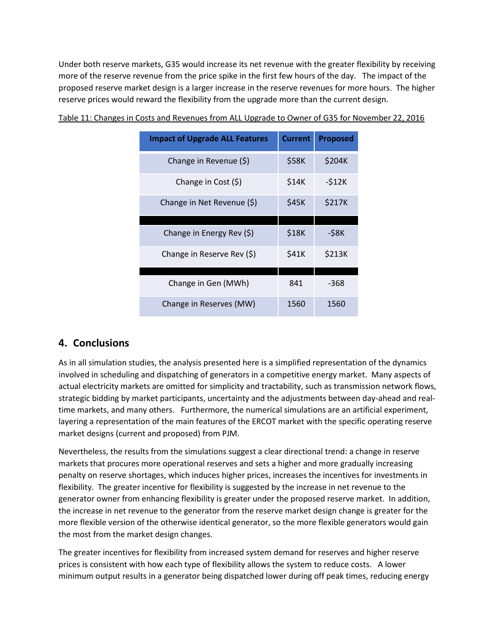Under both reserve markets, G35 would increase its net revenue with the greater flexibility by receiving more of the reserve revenue from the price spike in the first few hours of the day. The impact of the proposed reserve market design is a larger increase in the reserve revenues for more hours. The higher reserve prices would reward the flexibility from the upgrade more than the current design.

| <b>Impact of Upgrade ALL Features</b> | <b>Current</b> | <b>Proposed</b> |  |
|---------------------------------------|----------------|-----------------|--|
| Change in Revenue (\$)                | \$58K          | \$204K          |  |
| Change in Cost $(5)$                  | \$14K          | $-512K$         |  |
| Change in Net Revenue (\$)            | \$45K          | \$217K          |  |
|                                       |                |                 |  |
| Change in Energy Rev (\$)             | \$18K          | $-58K$          |  |
| Change in Reserve Rev (\$)            | \$41K          | \$213K          |  |
|                                       |                |                 |  |
| Change in Gen (MWh)                   | 841            | -368            |  |
| Change in Reserves (MW)               | 1560           | 1560            |  |

Table 11: Changes in Costs and Revenues from ALL Upgrade to Owner of G35 for November 22, 2016

# **4. Conclusions**

As in all simulation studies, the analysis presented here is a simplified representation of the dynamics involved in scheduling and dispatching of generators in a competitive energy market. Many aspects of actual electricity markets are omitted for simplicity and tractability, such as transmission network flows, strategic bidding by market participants, uncertainty and the adjustments between day-ahead and realtime markets, and many others. Furthermore, the numerical simulations are an artificial experiment, layering a representation of the main features of the ERCOT market with the specific operating reserve market designs (current and proposed) from PJM.

Nevertheless, the results from the simulations suggest a clear directional trend: a change in reserve markets that procures more operational reserves and sets a higher and more gradually increasing penalty on reserve shortages, which induces higher prices, increases the incentives for investments in flexibility. The greater incentive for flexibility is suggested by the increase in net revenue to the generator owner from enhancing flexibility is greater under the proposed reserve market. In addition, the increase in net revenue to the generator from the reserve market design change is greater for the more flexible version of the otherwise identical generator, so the more flexible generators would gain the most from the market design changes.

The greater incentives for flexibility from increased system demand for reserves and higher reserve prices is consistent with how each type of flexibility allows the system to reduce costs. A lower minimum output results in a generator being dispatched lower during off peak times, reducing energy